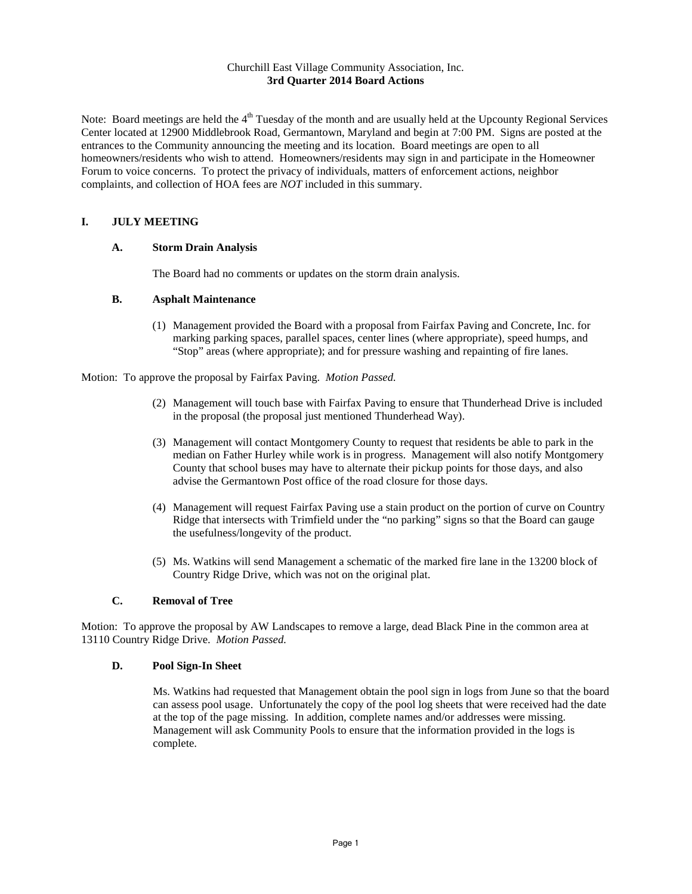## Churchill East Village Community Association, Inc. **3rd Quarter 2014 Board Actions**

Note: Board meetings are held the  $4<sup>th</sup>$  Tuesday of the month and are usually held at the Upcounty Regional Services Center located at 12900 Middlebrook Road, Germantown, Maryland and begin at 7:00 PM. Signs are posted at the entrances to the Community announcing the meeting and its location. Board meetings are open to all homeowners/residents who wish to attend. Homeowners/residents may sign in and participate in the Homeowner Forum to voice concerns. To protect the privacy of individuals, matters of enforcement actions, neighbor complaints, and collection of HOA fees are *NOT* included in this summary.

# **I. JULY MEETING**

# **A. Storm Drain Analysis**

The Board had no comments or updates on the storm drain analysis.

# **B. Asphalt Maintenance**

(1) Management provided the Board with a proposal from Fairfax Paving and Concrete, Inc. for marking parking spaces, parallel spaces, center lines (where appropriate), speed humps, and "Stop" areas (where appropriate); and for pressure washing and repainting of fire lanes.

Motion: To approve the proposal by Fairfax Paving. *Motion Passed.*

- (2) Management will touch base with Fairfax Paving to ensure that Thunderhead Drive is included in the proposal (the proposal just mentioned Thunderhead Way).
- (3) Management will contact Montgomery County to request that residents be able to park in the median on Father Hurley while work is in progress. Management will also notify Montgomery County that school buses may have to alternate their pickup points for those days, and also advise the Germantown Post office of the road closure for those days.
- (4) Management will request Fairfax Paving use a stain product on the portion of curve on Country Ridge that intersects with Trimfield under the "no parking" signs so that the Board can gauge the usefulness/longevity of the product.
- (5) Ms. Watkins will send Management a schematic of the marked fire lane in the 13200 block of Country Ridge Drive, which was not on the original plat.

# **C. Removal of Tree**

Motion: To approve the proposal by AW Landscapes to remove a large, dead Black Pine in the common area at 13110 Country Ridge Drive. *Motion Passed.* 

# **D. Pool Sign-In Sheet**

Ms. Watkins had requested that Management obtain the pool sign in logs from June so that the board can assess pool usage. Unfortunately the copy of the pool log sheets that were received had the date at the top of the page missing. In addition, complete names and/or addresses were missing. Management will ask Community Pools to ensure that the information provided in the logs is complete.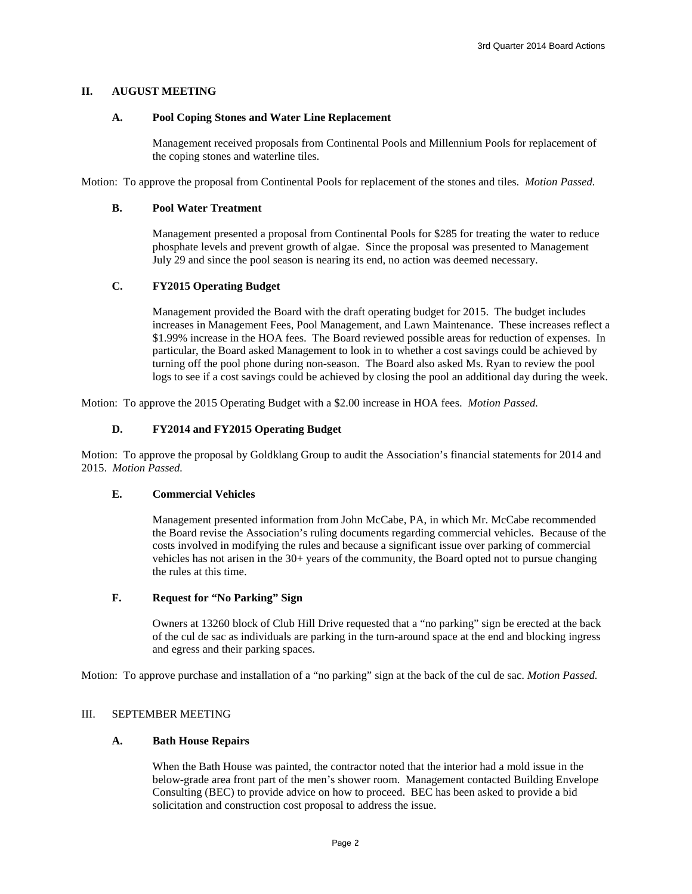# **II. AUGUST MEETING**

# **A. Pool Coping Stones and Water Line Replacement**

Management received proposals from Continental Pools and Millennium Pools for replacement of the coping stones and waterline tiles.

Motion: To approve the proposal from Continental Pools for replacement of the stones and tiles. *Motion Passed.*

# **B. Pool Water Treatment**

Management presented a proposal from Continental Pools for \$285 for treating the water to reduce phosphate levels and prevent growth of algae. Since the proposal was presented to Management July 29 and since the pool season is nearing its end, no action was deemed necessary.

# **C. FY2015 Operating Budget**

Management provided the Board with the draft operating budget for 2015. The budget includes increases in Management Fees, Pool Management, and Lawn Maintenance. These increases reflect a \$1.99% increase in the HOA fees. The Board reviewed possible areas for reduction of expenses. In particular, the Board asked Management to look in to whether a cost savings could be achieved by turning off the pool phone during non-season. The Board also asked Ms. Ryan to review the pool logs to see if a cost savings could be achieved by closing the pool an additional day during the week.

Motion: To approve the 2015 Operating Budget with a \$2.00 increase in HOA fees. *Motion Passed.*

# **D. FY2014 and FY2015 Operating Budget**

Motion: To approve the proposal by Goldklang Group to audit the Association's financial statements for 2014 and 2015. *Motion Passed.* 

# **E. Commercial Vehicles**

Management presented information from John McCabe, PA, in which Mr. McCabe recommended the Board revise the Association's ruling documents regarding commercial vehicles. Because of the costs involved in modifying the rules and because a significant issue over parking of commercial vehicles has not arisen in the 30+ years of the community, the Board opted not to pursue changing the rules at this time.

# **F. Request for "No Parking" Sign**

Owners at 13260 block of Club Hill Drive requested that a "no parking" sign be erected at the back of the cul de sac as individuals are parking in the turn-around space at the end and blocking ingress and egress and their parking spaces.

Motion: To approve purchase and installation of a "no parking" sign at the back of the cul de sac. *Motion Passed.*

# III. SEPTEMBER MEETING

# **A. Bath House Repairs**

When the Bath House was painted, the contractor noted that the interior had a mold issue in the below-grade area front part of the men's shower room. Management contacted Building Envelope Consulting (BEC) to provide advice on how to proceed. BEC has been asked to provide a bid solicitation and construction cost proposal to address the issue.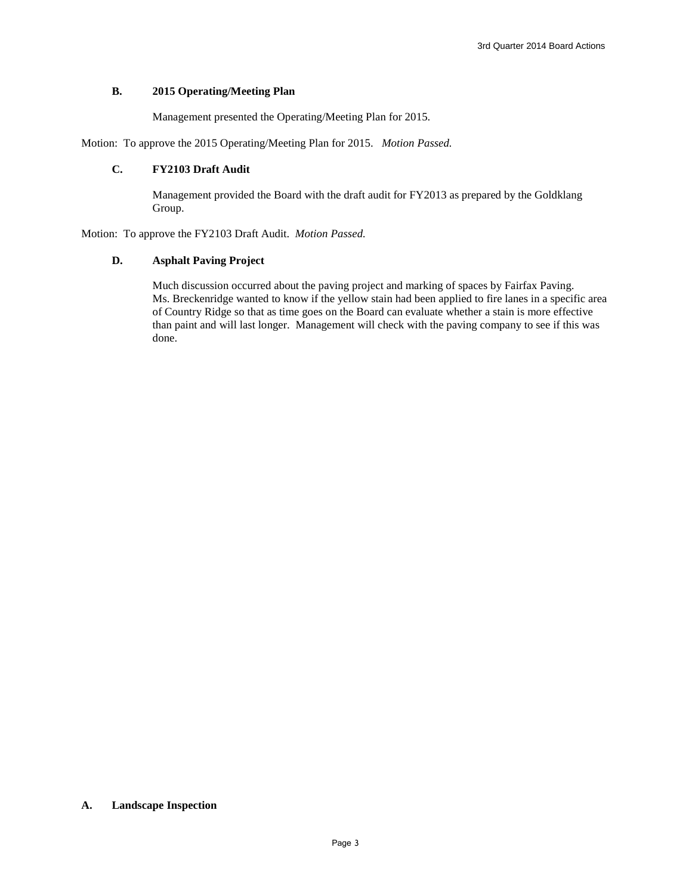## **B. 2015 Operating/Meeting Plan**

Management presented the Operating/Meeting Plan for 2015.

Motion: To approve the 2015 Operating/Meeting Plan for 2015. *Motion Passed.*

## **C. FY2103 Draft Audit**

Management provided the Board with the draft audit for FY2013 as prepared by the Goldklang Group.

Motion: To approve the FY2103 Draft Audit. *Motion Passed.* 

# **D. Asphalt Paving Project**

Much discussion occurred about the paving project and marking of spaces by Fairfax Paving. Ms. Breckenridge wanted to know if the yellow stain had been applied to fire lanes in a specific area of Country Ridge so that as time goes on the Board can evaluate whether a stain is more effective than paint and will last longer. Management will check with the paving company to see if this was done.

#### **A. Landscape Inspection**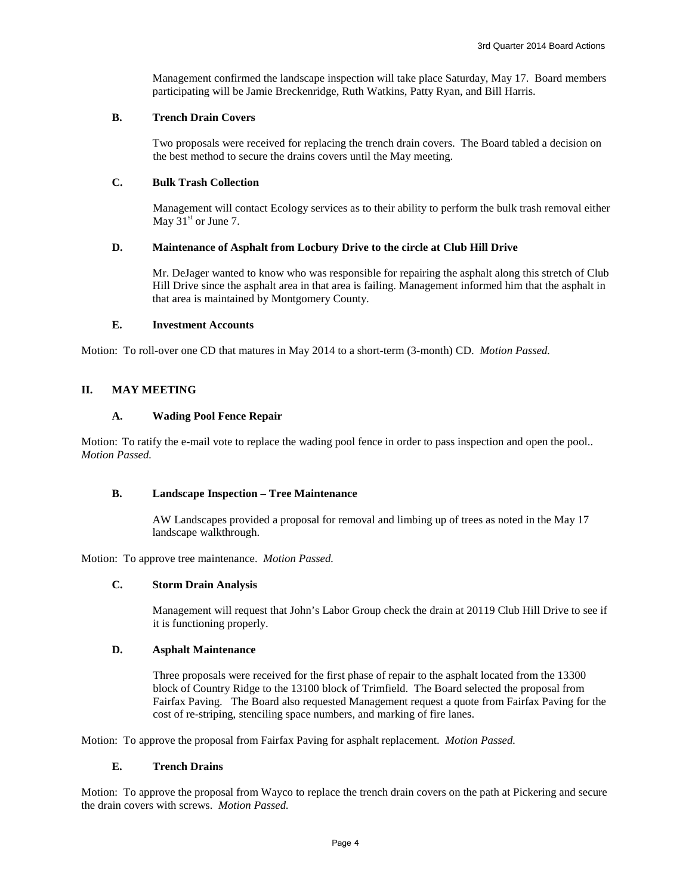Management confirmed the landscape inspection will take place Saturday, May 17. Board members participating will be Jamie Breckenridge, Ruth Watkins, Patty Ryan, and Bill Harris.

## **B. Trench Drain Covers**

Two proposals were received for replacing the trench drain covers. The Board tabled a decision on the best method to secure the drains covers until the May meeting.

#### **C. Bulk Trash Collection**

Management will contact Ecology services as to their ability to perform the bulk trash removal either May  $31<sup>st</sup>$  or June 7.

## **D. Maintenance of Asphalt from Locbury Drive to the circle at Club Hill Drive**

Mr. DeJager wanted to know who was responsible for repairing the asphalt along this stretch of Club Hill Drive since the asphalt area in that area is failing. Management informed him that the asphalt in that area is maintained by Montgomery County.

## **E. Investment Accounts**

Motion: To roll-over one CD that matures in May 2014 to a short-term (3-month) CD. *Motion Passed.*

# **II. MAY MEETING**

# **A. Wading Pool Fence Repair**

Motion: To ratify the e-mail vote to replace the wading pool fence in order to pass inspection and open the pool.. *Motion Passed.*

# **B. Landscape Inspection – Tree Maintenance**

AW Landscapes provided a proposal for removal and limbing up of trees as noted in the May 17 landscape walkthrough.

Motion: To approve tree maintenance. *Motion Passed.* 

# **C. Storm Drain Analysis**

Management will request that John's Labor Group check the drain at 20119 Club Hill Drive to see if it is functioning properly.

#### **D. Asphalt Maintenance**

Three proposals were received for the first phase of repair to the asphalt located from the 13300 block of Country Ridge to the 13100 block of Trimfield. The Board selected the proposal from Fairfax Paving. The Board also requested Management request a quote from Fairfax Paving for the cost of re-striping, stenciling space numbers, and marking of fire lanes.

Motion: To approve the proposal from Fairfax Paving for asphalt replacement. *Motion Passed.* 

# **E. Trench Drains**

Motion: To approve the proposal from Wayco to replace the trench drain covers on the path at Pickering and secure the drain covers with screws. *Motion Passed.*